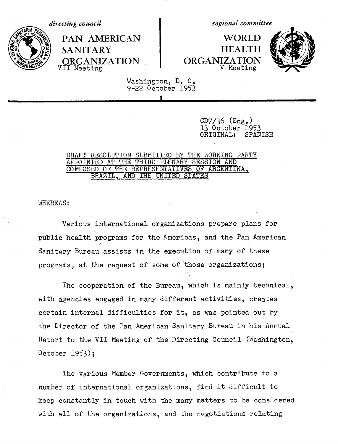RIA PA

**VII Meeting** 

*directing council regional committee* 

PAN AMERICAN | WORLD **/\_-t~ :i%\** SANITARY HEALTH ORGANIZATION NRGANIZATION<br>II Meeting



Washington, D. C. 9-22 October 1953

**I**

 $CD7/36$  (Eng.) 13 October 1953<br>ORIGINAL: SPANISH ORIGINAL:

## DRAFT RESOLUTION SUBMITTED BY THE WORKING PARTY APPOINTED AT THE THIRD PLENARY SESSION AND COMPOSED OF THE REPRESENTATIVES OF ARGENTINA. BRAZIL, AND THE UNITED STATES

WHEREAS:

Various international organizations prepare plans for public health programs for the Americas, and the Pan American Sanitary Bureau assists in the execution of many of these programs, at the request of some of'those organizations;

The cooperation of the Bureau, which is mainly technical, with agencies engaged in many different activities, creates certain internal difficulties for it, as was pointed out by the Director of the Pan American Sanitary Bureau in his Annual Report to the VII Meeting of the Directing Council (Washington, October 1953);

The various Member Governments, which contribute to a number of international organizations, find it difficult to keep constantly in touch with the many matters to be considered with all of the organizations, and the negotiations relating